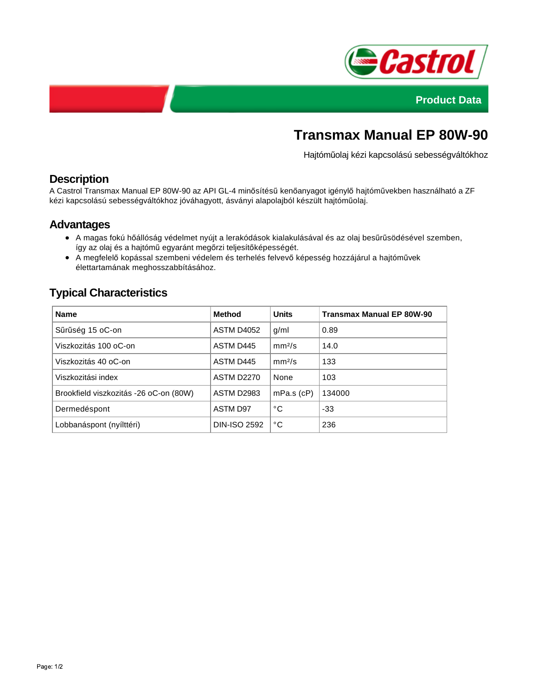



# **Transmax Manual EP 80W-90**

Hajtóműolaj kézi kapcsolású sebességváltókhoz

## **Description**

A Castrol Transmax Manual EP 80W-90 az API GL-4 minősítésű kenőanyagot igénylő hajtóművekben használható a ZF kézi kapcsolású sebességváltókhoz jóváhagyott, ásványi alapolajból készült hajtóműolaj.

## **Advantages**

- A magas fokú hőállóság védelmet nyújt a lerakódások kialakulásával és az olaj besűrűsödésével szemben, így az olaj és a hajtómű egyaránt megőrzi teljesítőképességét.
- A megfelelő kopással szembeni védelem és terhelés felvevő képesség hozzájárul a hajtóművek élettartamának meghosszabbításához.

## **Typical Characteristics**

| <b>Name</b>                            | Method              | <b>Units</b>       | <b>Transmax Manual EP 80W-90</b> |
|----------------------------------------|---------------------|--------------------|----------------------------------|
| Sűrűség 15 oC-on                       | <b>ASTM D4052</b>   | q/ml               | 0.89                             |
| Viszkozitás 100 oC-on                  | ASTM D445           | mm <sup>2</sup> /s | 14.0                             |
| Viszkozitás 40 oC-on                   | ASTM D445           | mm <sup>2</sup> /s | 133                              |
| Viszkozitási index                     | <b>ASTM D2270</b>   | None               | 103                              |
| Brookfield viszkozitás -26 oC-on (80W) | <b>ASTM D2983</b>   | $mPa.s$ ( $cP$ )   | 134000                           |
| Dermedéspont                           | <b>ASTM D97</b>     | °C                 | $-33$                            |
| Lobbanáspont (nyílttéri)               | <b>DIN-ISO 2592</b> | °C                 | 236                              |